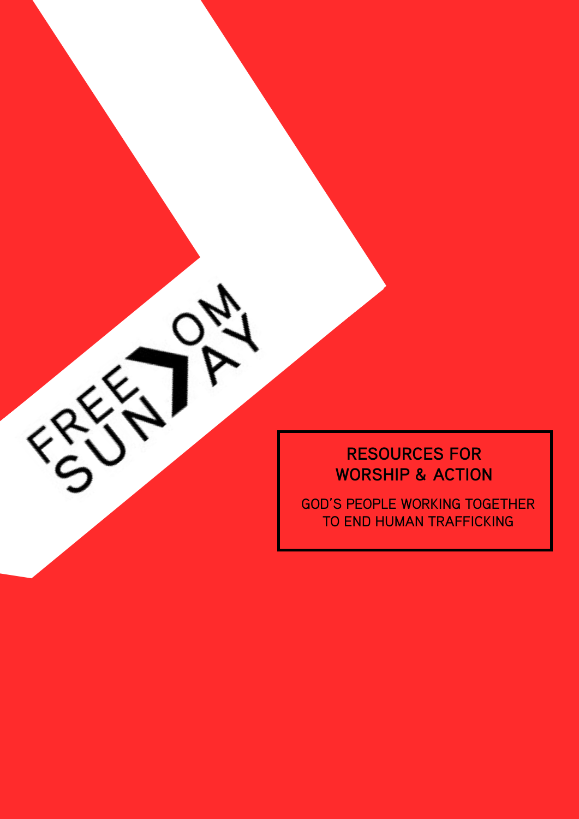

GOD'S PEOPLE WORKING TOGETHER TO END HUMAN TRAFFICKING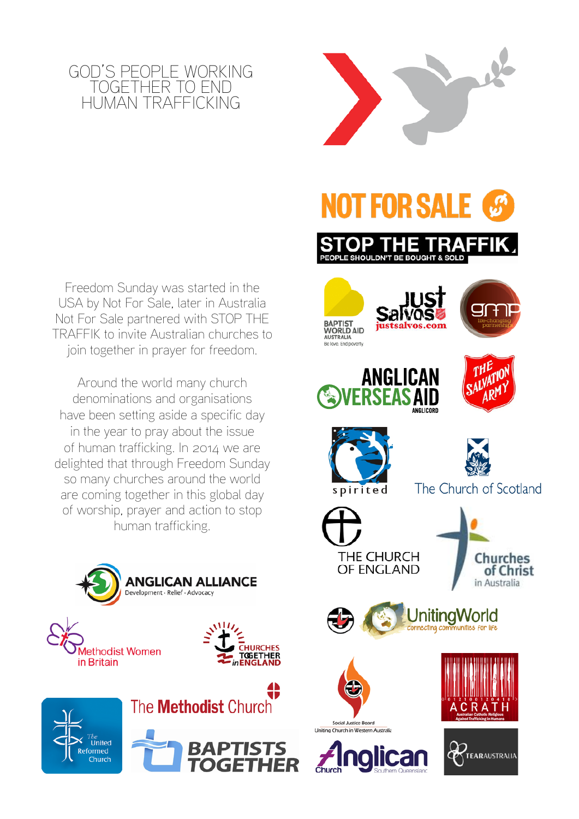

Freedom Sunday was started in the USA by [Not For Sale,](http://www.notforsalecampaign.org/) later in Australia Not For Sale partnered with STOP THE TRAFFIK to invite Australian churches to join together in prayer for freedom.

Around the world many church denominations and organisations have been setting aside a specific day in the year to pray about the issue of human trafficking. In 2014 we are delighted that through Freedom Sunday so many churches around the world are coming together in this global day of worship, prayer and action to stop human trafficking.







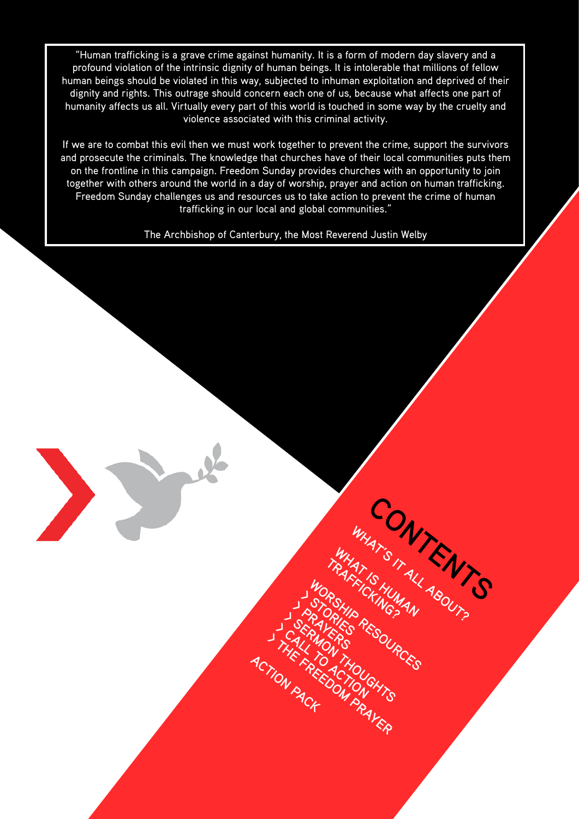"Human trafficking is a grave crime against humanity. It is a form of modern day slavery and a profound violation of the intrinsic dignity of human beings. It is intolerable that millions of fellow human beings should be violated in this way, subjected to inhuman exploitation and deprived of their dignity and rights. This outrage should concern each one of us, because what affects one part of humanity affects us all. Virtually every part of this world is touched in some way by the cruelty and violence associated with this criminal activity.

If we are to combat this evil then we must work together to prevent the crime, support the survivors and prosecute the criminals. The knowledge that churches have of their local communities puts them on the frontline in this campaign. Freedom Sunday provides churches with an opportunity to join together with others around the world in a day of worship, prayer and action on human trafficking. Freedom Sunday challenges us and resources us to take action to prevent the crime of human trafficking in our local and global communities."

The Archbishop of Canterbury, the Most Reverend Justin Welby

Contractor Contents

WHAT'S IT **EN!**<br>TRAFFISHUMAL ABOUT?

WORSHIP CHUMAN<br>STORILO RESOURCES<br>RAVERS RESOURCES<br>MON THO

**> S > P**

**ACTION PACK** 

**ARISHIA**<br>ARIES

**RAYER RESULTS > CALL TO ACTION**<br>THE LAGATHOU

**> THE FREEDOM PRAYER**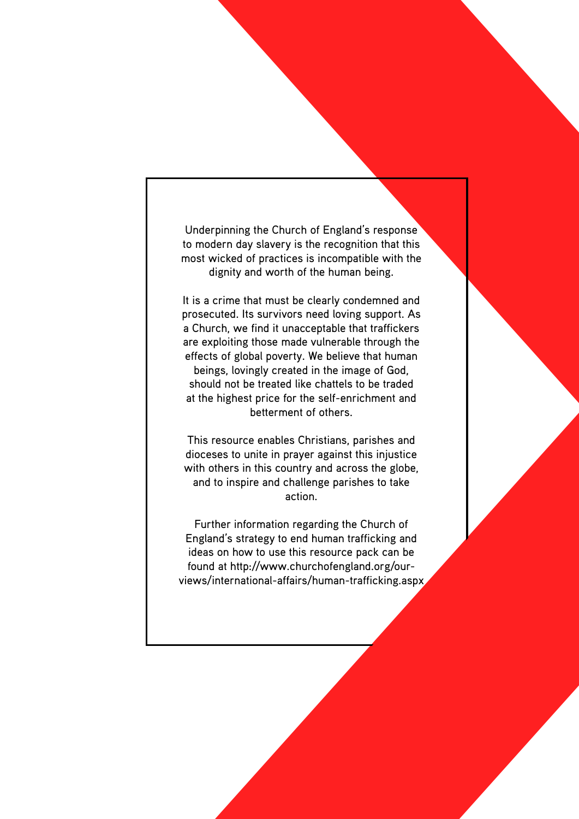most wicked of practices is incompatible with the to modern day slavery is the recognition that this Underpinning the Church of England's response dignity and worth of the human being.

Undersiming the Church of England's response<br>in the views of the church of England's response<br>in the views of the form of the form in the change of the corrections.<br>It is a crime to the multiple with the state of geopert. prosecuted. Its survivors need loving support. As It is a crime that must be clearly condemned and are exploiting those made vulnerable through the a Church, we find it unacceptable that traffickers effects of global poverty. We believe that human at the highest price for the self-enrichment and should not be treated like chattels to be traded beings, lovingly created in the image of God, betterment of others.

with others in this country and across the globe, dioceses to unite in prayer against this injustice This resource enables Christians, parishes and and to inspire and challenge parishes to take

England's strategy to end human trafficking and found at http://www.churchofengland.org/ourideas on how to use this resource pack can be Further information regarding the Church of dioceses to unite in prayer against this injustice<br>with others in this country and across the globe,<br>and to inspire and challenge parishes to take<br>action.<br>Further information regarding the Church of<br>England's strategy to e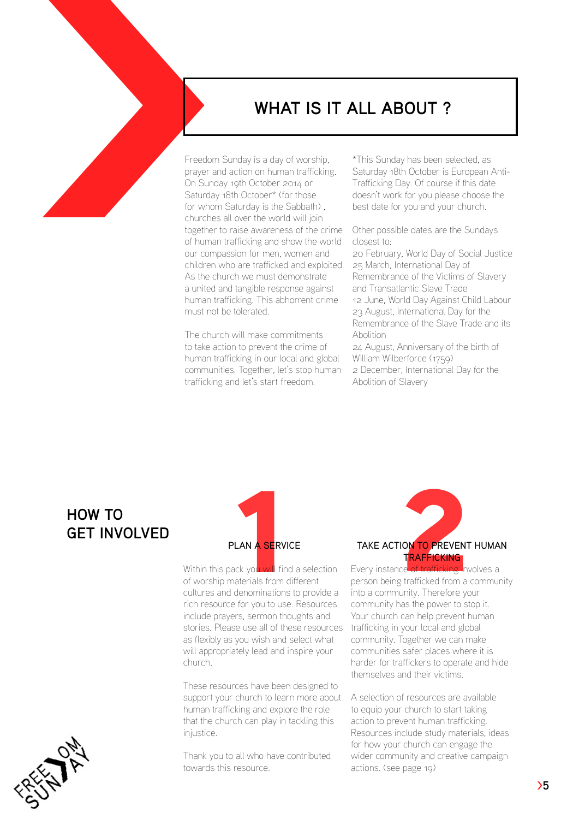

Freedom Sunday is a day of worship, prayer and action on human trafficking. On Sunday 19th October 2014 or Saturday 18th October\* (for those for whom Saturday is the Sabbath) , churches all over the world will join together to raise awareness of the crime of human trafficking and show the world our compassion for men, women and children who are trafficked and exploited. As the church we must demonstrate a united and tangible response against human trafficking. This abhorrent crime must not be tolerated.

The church will make commitments to take action to prevent the crime of human trafficking in our local and global communities. Together, let's stop human trafficking and let's start freedom.

\*This Sunday has been selected, as Saturday 18th October is European Anti-Trafficking Day. Of course if this date doesn't work for you please choose the best date for you and your church.

Other possible dates are the Sundays closest to:

20 February, World Day of Social Justice 25 March, International Day of Remembrance of the Victims of Slavery and Transatlantic Slave Trade 12 June, World Day Against Child Labour 23 August, International Day for the Remembrance of the Slave Trade and its Abolition

24 August, Anniversary of the birth of William Wilberforce (1759) 2 December, International Day for the

Abolition of Slavery

## **HOW TO GET INVOLVED**



Within this pack you will find a selection of worship materials from different cultures and denominations to provide a rich resource for you to use. Resources include prayers, sermon thoughts and stories. Please use all of these resources as flexibly as you wish and select what will appropriately lead and inspire your church.

These resources have been designed to support your church to learn more about human trafficking and explore the role that the church can play in tackling this iniustice.

Thank you to all who have contributed towards this resource.

# PLAN A SERVICE<br>
TAKE ACTION TO PREVENT<br>
Dack you will find a selection<br>
FRAFFICKING<br>
TRAFFICKING<br>
denominations to provide a into a community. Therefore you TAKE ACTION TO PREVENT HUMAN **TRAFFICKING**

Every instance of trafficking involves a person being trafficked from a community into a community. Therefore your community has the power to stop it. Your church can help prevent human trafficking in your local and global community. Together we can make communities safer places where it is harder for traffickers to operate and hide themselves and their victims.

A selection of resources are available to equip your church to start taking action to prevent human trafficking. Resources include study materials, ideas for how your church can engage the wider community and creative campaign actions. (see page 19)

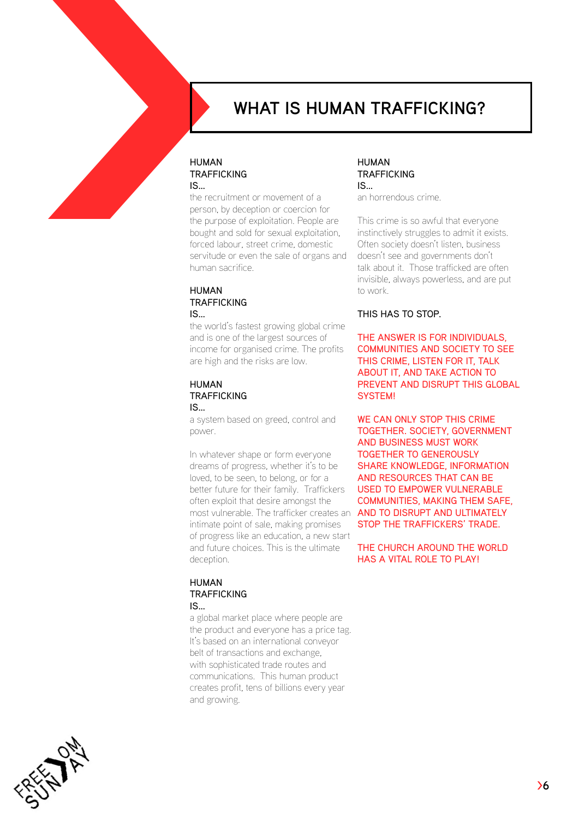

## **WHAT IS HUMAN TRAFFICKING?**

#### **HUMAN TRAFFICKING** is…

the recruitment or movement of a person, by deception or coercion for the purpose of exploitation. People are bought and sold for sexual exploitation, forced labour, street crime, domestic servitude or even the sale of organs and human sacrifice.

#### **HUMAN TRAFFICKING** is…

the world's fastest growing global crime and is one of the largest sources of income for organised crime. The profits are high and the risks are low.

#### Human **TRAFFICKING** is…

a system based on greed, control and power.

In whatever shape or form everyone dreams of progress, whether it's to be loved, to be seen, to belong, or for a better future for their family. Traffickers often exploit that desire amongst the most vulnerable. The trafficker creates an intimate point of sale, making promises of progress like an education, a new start and future choices. This is the ultimate deception.

#### Human **TRAFFICKING** is…

a global market place where people are the product and everyone has a price tag. It's based on an international conveyor belt of transactions and exchange, with sophisticated trade routes and communications. This human product creates profit, tens of billions every year and growing.

#### Human **TRAFFICKING** is…

an horrendous crime.

This crime is so awful that everyone instinctively struggles to admit it exists. Often society doesn't listen, business doesn't see and governments don't talk about it. Those trafficked are often invisible, always powerless, and are put to work.

#### This has to STOP.

The answer is for individuals, communities and society to see this crime, listen for it, talk about it, and take action to prevent and disrupt this global system!

WE CAN ONLY STOP THIS CRIME together. Society, government and business must work together to generously share knowledge, information and resources that can be used to empower vulnerable communities, making them safe, and to disrupt and ultimately stop the traffickers' trade.

THE CHURCH AROUND THE WORLD has a vital role to play!

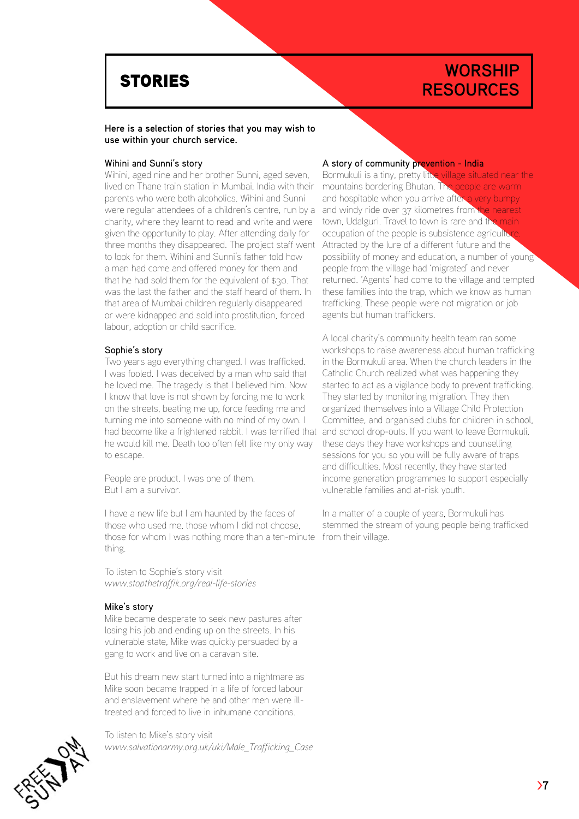## **WORSHIP RESOURCES**

#### **Here is a selection of stories that you may wish to use within your church service.**

#### Wihini and Sunni's story

Wihini, aged nine and her brother Sunni, aged seven, lived on Thane train station in Mumbai, India with their parents who were both alcoholics. Wihini and Sunni were regular attendees of a children's centre, run by a charity, where they learnt to read and write and were given the opportunity to play. After attending daily for three months they disappeared. The project staff went to look for them. Wihini and Sunni's father told how a man had come and offered money for them and that he had sold them for the equivalent of \$30. That was the last the father and the staff heard of them. In that area of Mumbai children regularly disappeared or were kidnapped and sold into prostitution, forced labour, adoption or child sacrifice.

#### Sophie's story

Two years ago everything changed. I was trafficked. I was fooled. I was deceived by a man who said that he loved me. The tragedy is that I believed him. Now I know that love is not shown by forcing me to work on the streets, beating me up, force feeding me and turning me into someone with no mind of my own. I had become like a frightened rabbit. I was terrified that he would kill me. Death too often felt like my only way to escape.

People are product. I was one of them. But I am a survivor.

I have a new life but I am haunted by the faces of those who used me, those whom I did not choose, those for whom I was nothing more than a ten-minute from their village. thing.

To listen to Sophie's story visit *<www.stopthetraffik.org/real>-life-stories* 

#### Mike's story

Mike became desperate to seek new pastures after losing his job and ending up on the streets. In his vulnerable state, Mike was quickly persuaded by a gang to work and live on a caravan site.

But his dream new start turned into a nightmare as Mike soon became trapped in a life of forced labour and enslavement where he and other men were illtreated and forced to live in inhumane conditions.

To listen to Mike's story visit *[www.salvationarmy.org.uk/uki/Male\\_](www.salvationarmy.org.uk/uki/Male)Trafficking\_Case* 

#### A story of community prevention - India

Bormukuli is a tiny, pretty little village situated near the mountains bordering Bhutan. The people are warm and hospitable when you arrive after a very bumpy and windy ride over 37 kilometres from the nearest town, Udalguri. Travel to town is rare and the main occupation of the people is subsistence agriculture Attracted by the lure of a different future and the possibility of money and education, a number of young people from the village had 'migrated' and never returned. 'Agents' had come to the village and tempted these families into the trap, which we know as human trafficking. These people were not migration or job agents but human traffickers.

A local charity's community health team ran some workshops to raise awareness about human trafficking in the Bormukuli area. When the church leaders in the Catholic Church realized what was happening they started to act as a vigilance body to prevent trafficking. They started by monitoring migration. They then organized themselves into a Village Child Protection Committee, and organised clubs for children in school, and school drop-outs. If you want to leave Bormukuli, these days they have workshops and counselling sessions for you so you will be fully aware of traps and difficulties. Most recently, they have started income generation programmes to support especially vulnerable families and at-risk youth.

In a matter of a couple of years, Bormukuli has stemmed the stream of young people being trafficked

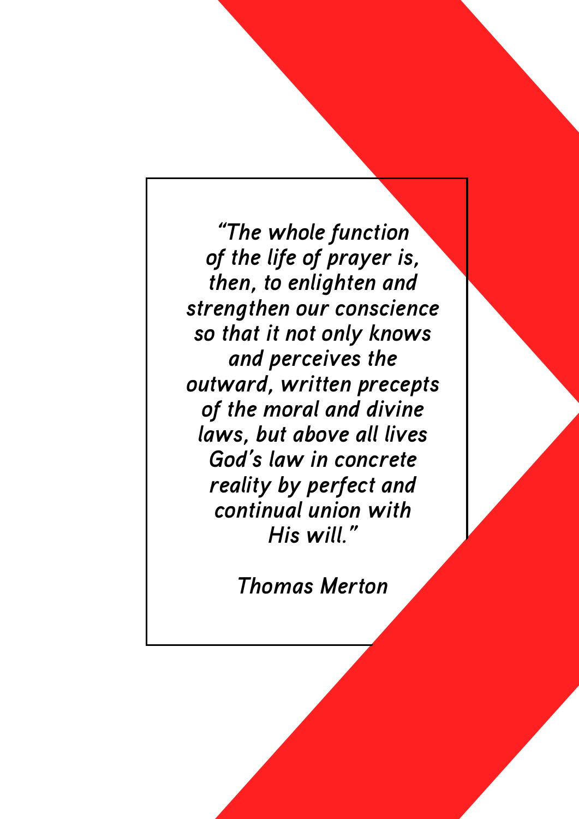*"The whole function of the life of prayer is, then, to enlighten and strengthen our conscience so that it not only knows and perceives the outward, written precepts of the moral and divine laws, but above all lives God's law in concrete reality by perfect and continual union with His whole function*<br> *His whole function*<br> *His will get of prayer is,*<br> *then, to enlighten and*<br> *strengthen our conscience*<br>
so that it not only knows<br> *and precise the*<br> *of the moral and divine*<br> *His will."*<br> *His w*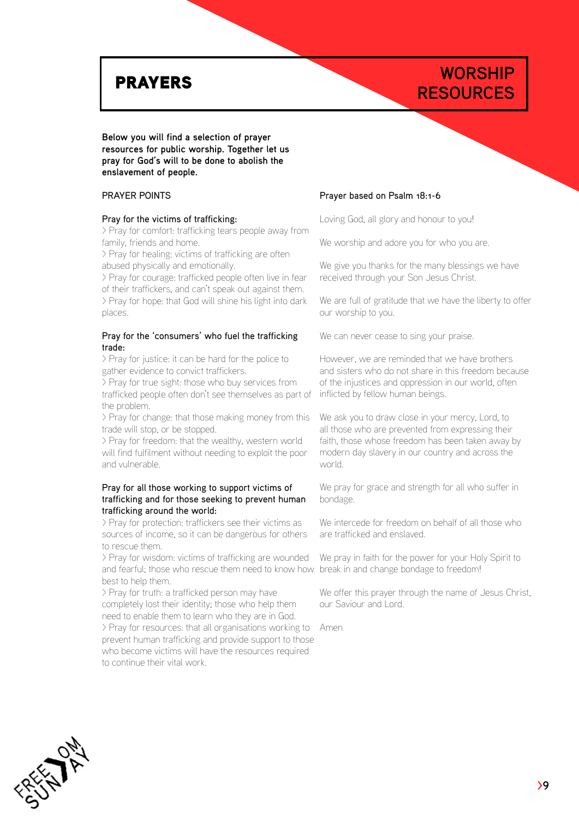## **WORSHIP PRAYERS** RESOURCES

#### **Below you will find a selection of prayer resources for public worship. Together let us pray for God's will to be done to abolish the enslavement of people.**

#### Prayer points

#### Pray for the victims of trafficking:

> Pray for comfort: trafficking tears people away from family, friends and home.

> Pray for healing: victims of trafficking are often abused physically and emotionally.

> Pray for courage: trafficked people often live in fear of their traffickers, and can't speak out against them. > Pray for hope: that God will shine his light into dark places.

#### Pray for the 'consumers' who fuel the trafficking trade:

> Pray for justice: it can be hard for the police to gather evidence to convict traffickers.

> Pray for true sight: those who buy services from trafficked people often don't see themselves as part of the problem.

> Pray for change: that those making money from this trade will stop, or be stopped.

> Pray for freedom: that the wealthy, western world will find fulfilment without needing to exploit the poor and vulnerable.

#### Pray for all those working to support victims of trafficking and for those seeking to prevent human trafficking around the world:

> Pray for protection: traffickers see their victims as sources of income, so it can be dangerous for others to rescue them.

> Pray for wisdom: victims of trafficking are wounded and fearful; those who rescue them need to know how break in and change bondage to freedom! best to help them.

> Pray for truth: a trafficked person may have completely lost their identity; those who help them need to enable them to learn who they are in God. > Pray for resources: that all organisations working to Amen

prevent human trafficking and provide support to those who become victims will have the resources required to continue their vital work.

#### Prayer based on Psalm 18:1-6

Loving God, all glory and honour to you!

We worship and adore you for who you are.

We give you thanks for the many blessings we have received through your Son Jesus Christ.

We are full of gratitude that we have the liberty to offer our worship to you.

We can never cease to sing your praise.

However, we are reminded that we have brothers and sisters who do not share in this freedom because of the injustices and oppression in our world, often inflicted by fellow human beings.

We ask you to draw close in your mercy, Lord, to all those who are prevented from expressing their faith, those whose freedom has been taken away by modern day slavery in our country and across the world.

We pray for grace and strength for all who suffer in bondage.

We intercede for freedom on behalf of all those who are trafficked and enslaved.

We pray in faith for the power for your Holy Spirit to

We offer this prayer through the name of Jesus Christ, our Saviour and Lord.

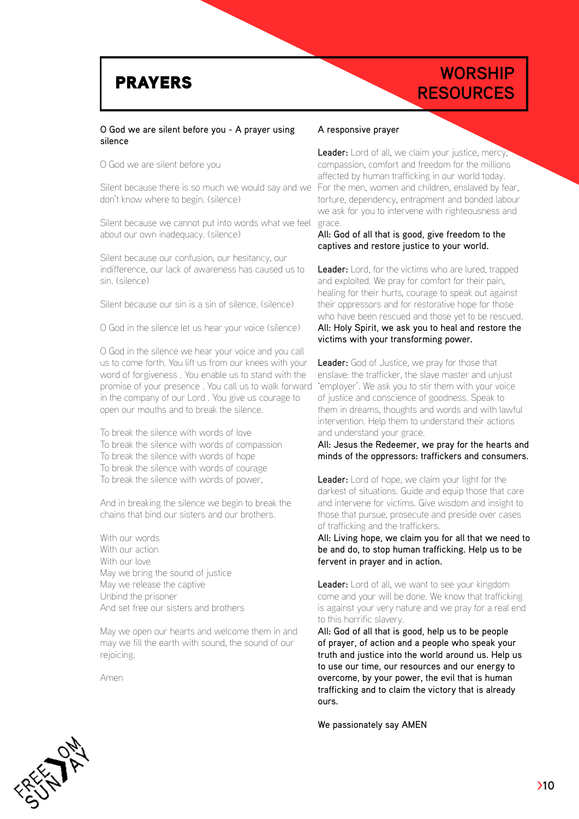## **WORSHIP PRAYERS** RESOURCES

#### O God we are silent before you - A prayer using silence

O God we are silent before you

Silent because there is so much we would say and we don't know where to begin. (silence)

Silent because we cannot put into words what we feel about our own inadequacy. (silence)

Silent because our confusion, our hesitancy, our indifference, our lack of awareness has caused us to sin. (silence)

Silent because our sin is a sin of silence. (silence)

O God in the silence let us hear your voice (silence)

O God in the silence we hear your voice and you call us to come forth. You lift us from our knees with your word of forgiveness . You enable us to stand with the promise of your presence . You call us to walk forward in the company of our Lord . You give us courage to open our mouths and to break the silence.

To break the silence with words of love To break the silence with words of compassion To break the silence with words of hope To break the silence with words of courage To break the silence with words of power,

And in breaking the silence we begin to break the chains that bind our sisters and our brothers.

With our words With our action With our love May we bring the sound of justice May we release the captive Unbind the prisoner And set free our sisters and brothers

May we open our hearts and welcome them in and may we fill the earth with sound, the sound of our rejoicing.

Amen

#### A responsive prayer

Leader: Lord of all, we claim your justice, mercy, compassion, comfort and freedom for the millions affected by human trafficking in our world today. For the men, women and children, enslaved by fear, torture, dependency, entrapment and bonded labour we ask for you to intervene with righteousness and grace.

#### All: God of all that is good, give freedom to the captives and restore justice to your world.

Leader: Lord, for the victims who are lured, trapped and exploited. We pray for comfort for their pain, healing for their hurts, courage to speak out against their oppressors and for restorative hope for those who have been rescued and those yet to be rescued. All: Holy Spirit, we ask you to heal and restore the victims with your transforming power.

Leader: God of Justice, we pray for those that enslave: the trafficker, the slave master and unjust 'employer'. We ask you to stir them with your voice of justice and conscience of goodness. Speak to them in dreams, thoughts and words and with lawful intervention. Help them to understand their actions and understand your grace.

All: Jesus the Redeemer, we pray for the hearts and minds of the oppressors: traffickers and consumers.

Leader: Lord of hope, we claim your light for the darkest of situations. Guide and equip those that care and intervene for victims. Give wisdom and insight to those that pursue, prosecute and preside over cases of trafficking and the traffickers.

All: Living hope, we claim you for all that we need to be and do, to stop human trafficking. Help us to be fervent in prayer and in action.

Leader: Lord of all, we want to see your kingdom come and your will be done. We know that trafficking is against your very nature and we pray for a real end to this horrific slavery.

All: God of all that is good, help us to be people of prayer, of action and a people who speak your truth and justice into the world around us. Help us to use our time, our resources and our energy to overcome, by your power, the evil that is human trafficking and to claim the victory that is already ours.

We passionately say AMEN

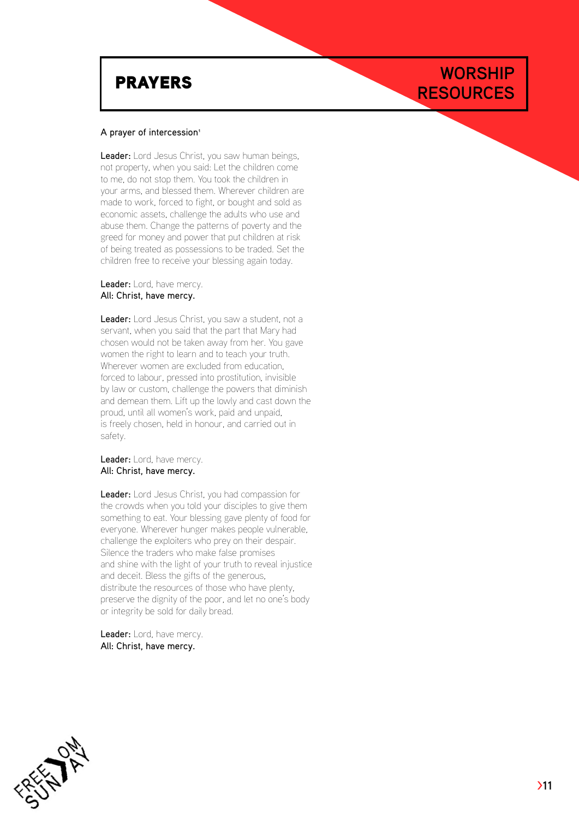# **PRAYERS** RESOURCES

#### A prayer of intercession<sup>1</sup>

Leader: Lord Jesus Christ, you saw human beings, not property, when you said: Let the children come to me, do not stop them. You took the children in your arms, and blessed them. Wherever children are made to work, forced to fight, or bought and sold as economic assets, challenge the adults who use and abuse them. Change the patterns of poverty and the greed for money and power that put children at risk of being treated as possessions to be traded. Set the children free to receive your blessing again today.

#### Leader: Lord, have mercy. All: Christ, have mercy.

Leader: Lord Jesus Christ, you saw a student, not a servant, when you said that the part that Mary had chosen would not be taken away from her. You gave women the right to learn and to teach your truth. Wherever women are excluded from education, forced to labour, pressed into prostitution, invisible by law or custom, challenge the powers that diminish and demean them. Lift up the lowly and cast down the proud, until all women's work, paid and unpaid, is freely chosen, held in honour, and carried out in safety.

#### Leader: Lord, have mercy. All: Christ, have mercy.

Leader: Lord Jesus Christ, you had compassion for the crowds when you told your disciples to give them something to eat. Your blessing gave plenty of food for everyone. Wherever hunger makes people vulnerable, challenge the exploiters who prey on their despair. Silence the traders who make false promises and shine with the light of your truth to reveal injustice and deceit. Bless the gifts of the generous, distribute the resources of those who have plenty, preserve the dignity of the poor, and let no one's body or integrity be sold for daily bread.

Leader: Lord, have mercy. All: Christ, have mercy.



**WORSHIP**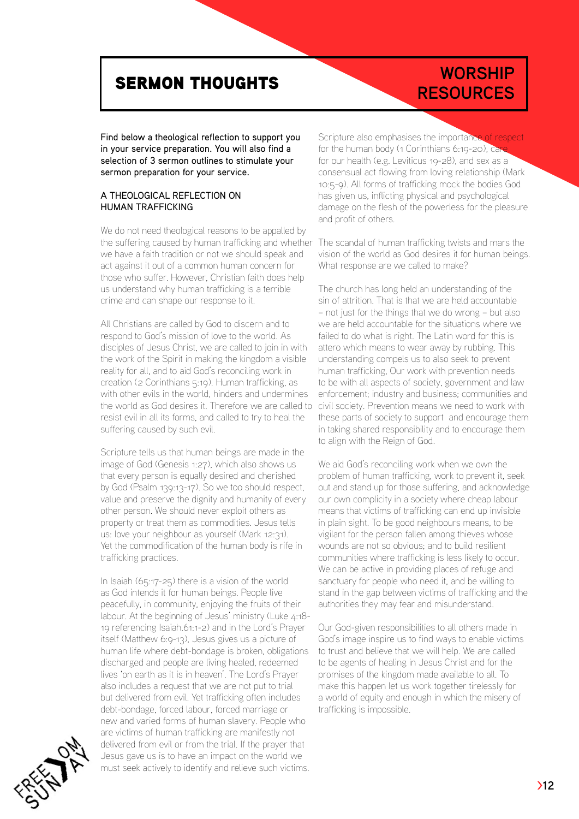# **RESOURCES** SERMON THOUGHTS

# **WORSHIP**

Find below a theological reflection to support you in your service preparation. You will also find a selection of 3 sermon outlines to stimulate your sermon preparation for your service.

#### A THEOLOGICAL REFLECTION ON HUMAN TRAFFICKING

We do not need theological reasons to be appalled by the suffering caused by human trafficking and whether we have a faith tradition or not we should speak and act against it out of a common human concern for those who suffer. However, Christian faith does help us understand why human trafficking is a terrible crime and can shape our response to it.

All Christians are called by God to discern and to respond to God's mission of love to the world. As disciples of Jesus Christ, we are called to join in with the work of the Spirit in making the kingdom a visible reality for all, and to aid God's reconciling work in creation (2 Corinthians 5:19). Human trafficking, as with other evils in the world, hinders and undermines the world as God desires it. Therefore we are called to resist evil in all its forms, and called to try to heal the suffering caused by such evil.

Scripture tells us that human beings are made in the image of God (Genesis 1:27), which also shows us that every person is equally desired and cherished by God (Psalm 139:13-17). So we too should respect, value and preserve the dignity and humanity of every other person. We should never exploit others as property or treat them as commodities. Jesus tells us: love your neighbour as yourself (Mark 12:31). Yet the commodification of the human body is rife in trafficking practices.

In Isaiah (65:17-25) there is a vision of the world as God intends it for human beings. People live peacefully, in community, enjoying the fruits of their labour. At the beginning of Jesus' ministry (Luke 4:18-19 referencing Isaiah.61:1-2) and in the Lord's Prayer itself (Matthew 6:9-13), Jesus gives us a picture of human life where debt-bondage is broken, obligations discharged and people are living healed, redeemed lives 'on earth as it is in heaven'. The Lord's Prayer also includes a request that we are not put to trial but delivered from evil. Yet trafficking often includes debt-bondage, forced labour, forced marriage or new and varied forms of human slavery. People who are victims of human trafficking are manifestly not delivered from evil or from the trial. If the prayer that Jesus gave us is to have an impact on the world we must seek actively to identify and relieve such victims.

Scripture also emphasises the importance of respect for the human body (1 Corinthians 6:19-20), Car for our health (e.g. Leviticus 19-28), and sex as a consensual act flowing from loving relationship (Mark 10:5-9). All forms of trafficking mock the bodies God has given us, inflicting physical and psychological damage on the flesh of the powerless for the pleasure and profit of others.

The scandal of human trafficking twists and mars the vision of the world as God desires it for human beings. What response are we called to make?

The church has long held an understanding of the sin of attrition. That is that we are held accountable – not just for the things that we do wrong – but also we are held accountable for the situations where we failed to do what is right. The Latin word for this is attero which means to wear away by rubbing. This understanding compels us to also seek to prevent human trafficking, Our work with prevention needs to be with all aspects of society, government and law enforcement; industry and business; communities and civil society. Prevention means we need to work with these parts of society to support and encourage them in taking shared responsibility and to encourage them to align with the Reign of God.

We aid God's reconciling work when we own the problem of human trafficking, work to prevent it, seek out and stand up for those suffering, and acknowledge our own complicity in a society where cheap labour means that victims of trafficking can end up invisible in plain sight. To be good neighbours means, to be vigilant for the person fallen among thieves whose wounds are not so obvious; and to build resilient communities where trafficking is less likely to occur. We can be active in providing places of refuge and sanctuary for people who need it, and be willing to stand in the gap between victims of trafficking and the authorities they may fear and misunderstand.

Our God-given responsibilities to all others made in God's image inspire us to find ways to enable victims to trust and believe that we will help. We are called to be agents of healing in Jesus Christ and for the promises of the kingdom made available to all. To make this happen let us work together tirelessly for a world of equity and enough in which the misery of trafficking is impossible.

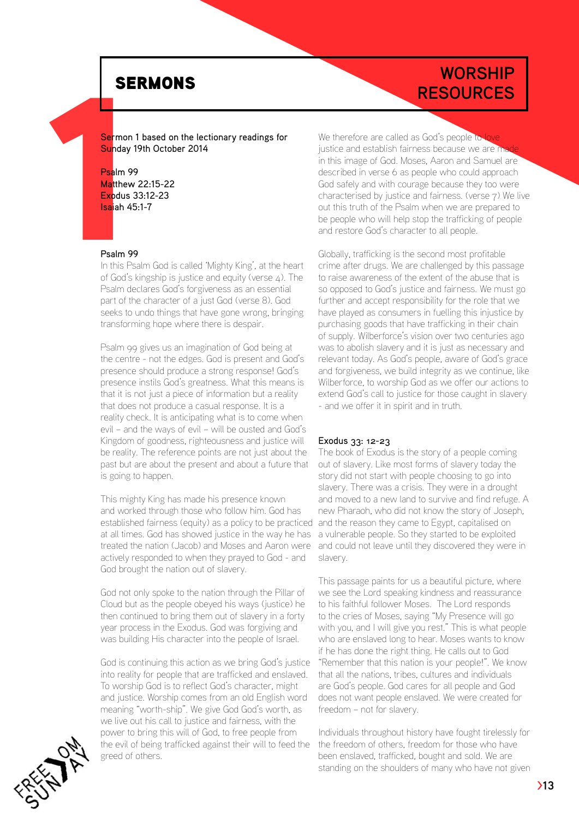Sermon 1 based on the lectionary readings for Sunday 19th October 2014

#### Psalm 99 Matthew 22:15-22

SE<br>
Sermon<br>
Sunday<br>
Psalm 99<br>
Matthew<br>
Expdus<br>
Isaiah 45<br>
Psalm 99<br>
In this Ps<br>
of God's Exodus 33:12-23 Isaiah 45:1-7

#### Psalm 99

In this Psalm God is called 'Mighty King', at the heart of God's kingship is justice and equity (verse 4). The Psalm declares God's forgiveness as an essential part of the character of a just God (verse 8). God seeks to undo things that have gone wrong, bringing transforming hope where there is despair.

Psalm 99 gives us an imagination of God being at the centre - not the edges. God is present and God's presence should produce a strong response! God's presence instils God's greatness. What this means is that it is not just a piece of information but a reality that does not produce a casual response. It is a reality check. It is anticipating what is to come when evil – and the ways of evil – will be ousted and God's Kingdom of goodness, righteousness and justice will be reality. The reference points are not just about the past but are about the present and about a future that is going to happen.

This mighty King has made his presence known and worked through those who follow him. God has established fairness (equity) as a policy to be practiced at all times. God has showed justice in the way he has treated the nation (Jacob) and Moses and Aaron were actively responded to when they prayed to God - and God brought the nation out of slavery.

God not only spoke to the nation through the Pillar of Cloud but as the people obeyed his ways (justice) he then continued to bring them out of slavery in a forty year process in the Exodus. God was forgiving and was building His character into the people of Israel.

God is continuing this action as we bring God's justice into reality for people that are trafficked and enslaved. To worship God is to reflect God's character, might and justice. Worship comes from an old English word meaning "worth-ship". We give God God's worth, as we live out his call to justice and fairness, with the power to bring this will of God, to free people from the evil of being trafficked against their will to feed the greed of others.

**WORSHIP RESOURCES** 

> We therefore are called as God's people to justice and establish fairness because we are ma in this image of God. Moses, Aaron and Samuel are described in verse 6 as people who could approach God safely and with courage because they too were characterised by justice and fairness. (verse 7) We live out this truth of the Psalm when we are prepared to be people who will help stop the trafficking of people and restore God's character to all people.

> Globally, trafficking is the second most profitable crime after drugs. We are challenged by this passage to raise awareness of the extent of the abuse that is so opposed to God's justice and fairness. We must go further and accept responsibility for the role that we have played as consumers in fuelling this injustice by purchasing goods that have trafficking in their chain of supply. Wilberforce's vision over two centuries ago was to abolish slavery and it is just as necessary and relevant today. As God's people, aware of God's grace and forgiveness, we build integrity as we continue, like Wilberforce, to worship God as we offer our actions to extend God's call to justice for those caught in slavery - and we offer it in spirit and in truth.

#### Exodus 33: 12-23

The book of Exodus is the story of a people coming out of slavery. Like most forms of slavery today the story did not start with people choosing to go into slavery. There was a crisis. They were in a drought and moved to a new land to survive and find refuge. A new Pharaoh, who did not know the story of Joseph, and the reason they came to Egypt, capitalised on a vulnerable people. So they started to be exploited and could not leave until they discovered they were in slavery.

This passage paints for us a beautiful picture, where we see the Lord speaking kindness and reassurance to his faithful follower Moses. The Lord responds to the cries of Moses, saying "My Presence will go with you, and I will give you rest." This is what people who are enslaved long to hear. Moses wants to know if he has done the right thing. He calls out to God "Remember that this nation is your people!". We know that all the nations, tribes, cultures and individuals are God's people. God cares for all people and God does not want people enslaved. We were created for freedom – not for slavery.

Individuals throughout history have fought tirelessly for the freedom of others, freedom for those who have been enslaved, trafficked, bought and sold. We are standing on the shoulders of many who have not given

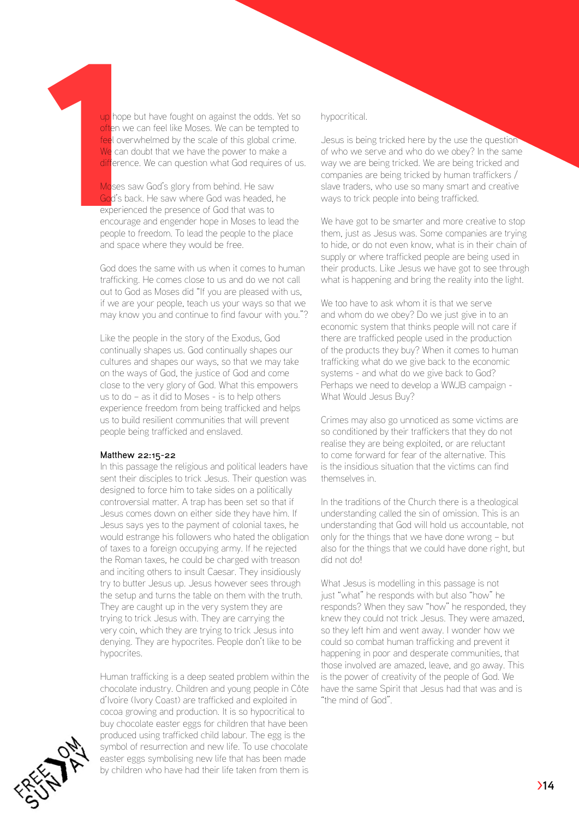up hope but have fought on against the odds. Yet so often we can feel like Moses. We can be tempted to feel overwhelmed by the scale of this global crime. We can doubt that we have the power to make a difference. We can question what God requires of us.

up hope<br>often we<br>feel over<br>We can c<br>difference<br>Moses s<br>God's ba<br>experien<br>encourage<br>people to Moses saw God's glory from behind. He saw God's back. He saw where God was headed, he experienced the presence of God that was to encourage and engender hope in Moses to lead the people to freedom. To lead the people to the place and space where they would be free.

> God does the same with us when it comes to human trafficking. He comes close to us and do we not call out to God as Moses did "If you are pleased with us, if we are your people, teach us your ways so that we may know you and continue to find favour with you."?

Like the people in the story of the Exodus, God continually shapes us. God continually shapes our cultures and shapes our ways, so that we may take on the ways of God, the justice of God and come close to the very glory of God. What this empowers us to do – as it did to Moses - is to help others experience freedom from being trafficked and helps us to build resilient communities that will prevent people being trafficked and enslaved.

#### Matthew 22:15-22

In this passage the religious and political leaders have sent their disciples to trick Jesus. Their question was designed to force him to take sides on a politically controversial matter. A trap has been set so that if Jesus comes down on either side they have him. If Jesus says yes to the payment of colonial taxes, he would estrange his followers who hated the obligation of taxes to a foreign occupying army. If he rejected the Roman taxes, he could be charged with treason and inciting others to insult Caesar. They insidiously try to butter Jesus up. Jesus however sees through the setup and turns the table on them with the truth. They are caught up in the very system they are trying to trick Jesus with. They are carrying the very coin, which they are trying to trick Jesus into denying. They are hypocrites. People don't like to be hypocrites.

Human trafficking is a deep seated problem within the chocolate industry. Children and young people in Côte d'Ivoire (Ivory Coast) are trafficked and exploited in cocoa growing and production. It is so hypocritical to buy chocolate easter eggs for children that have been produced using trafficked child labour. The egg is the symbol of resurrection and new life. To use chocolate easter eggs symbolising new life that has been made by children who have had their life taken from them is

#### hypocritical.

Jesus is being tricked here by the use the question of who we serve and who do we obey? In the same way we are being tricked. We are being tricked and companies are being tricked by human traffickers / slave traders, who use so many smart and creative ways to trick people into being trafficked.

We have got to be smarter and more creative to stop them, just as Jesus was. Some companies are trying to hide, or do not even know, what is in their chain of supply or where trafficked people are being used in their products. Like Jesus we have got to see through what is happening and bring the reality into the light.

We too have to ask whom it is that we serve and whom do we obey? Do we just give in to an economic system that thinks people will not care if there are trafficked people used in the production of the products they buy? When it comes to human trafficking what do we give back to the economic systems - and what do we give back to God? Perhaps we need to develop a WWJB campaign - What Would Jesus Buy?

Crimes may also go unnoticed as some victims are so conditioned by their traffickers that they do not realise they are being exploited, or are reluctant to come forward for fear of the alternative. This is the insidious situation that the victims can find themselves in.

In the traditions of the Church there is a theological understanding called the sin of omission. This is an understanding that God will hold us accountable, not only for the things that we have done wrong – but also for the things that we could have done right, but did not do!

What Jesus is modelling in this passage is not just "what" he responds with but also "how" he responds? When they saw "how" he responded, they knew they could not trick Jesus. They were amazed, so they left him and went away. I wonder how we could so combat human trafficking and prevent it happening in poor and desperate communities, that those involved are amazed, leave, and go away. This is the power of creativity of the people of God. We have the same Spirit that Jesus had that was and is "the mind of God".

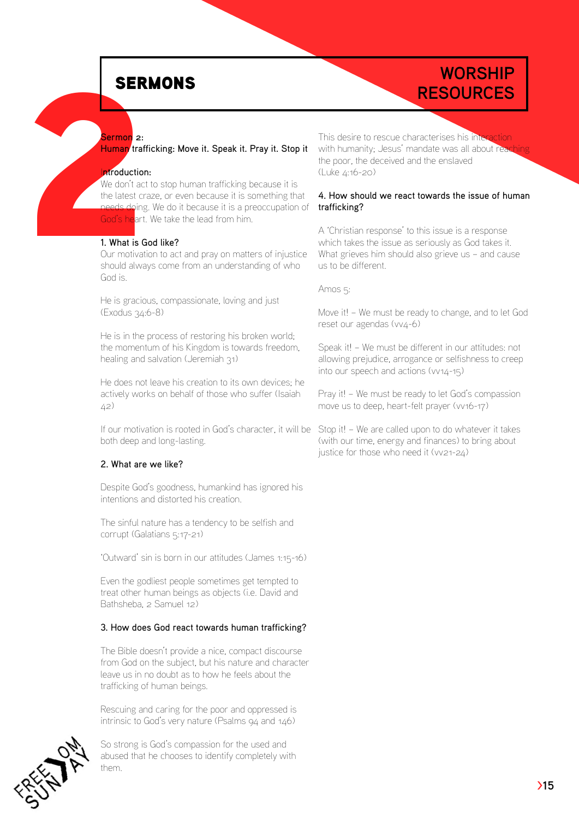# **RESOURCES**

#### Sermon<sup>2:</sup>

Human trafficking: Move it. Speak it. Pray it. Stop it

#### Introduction:

SER<br>
Sermon [2](1.What):<br>
Human traf<br>
Introduction<br>
We don't act<br>
the latest cr<br>
Cod's heart<br>
1. What is G<br>
Our motivat<br>
should alwa We don't act to stop human trafficking because it is the latest craze, or even because it is something that needs doing. We do it because it is a preoccupation of God's heart. We take the lead from him.

#### 1. What is God like?

Our motivation to act and pray on matters of injustice should always come from an understanding of who God is.

He is gracious, compassionate, loving and just (Exodus 34:6-8)

He is in the process of restoring his broken world; the momentum of his Kingdom is towards freedom, healing and salvation (Jeremiah 31)

He does not leave his creation to its own devices; he actively works on behalf of those who suffer (Isaiah 42)

If our motivation is rooted in God's character, it will be Stop it! – We are called upon to do whatever it takes both deep and long-lasting.

#### 2. What are we like?

Despite God's goodness, humankind has ignored his intentions and distorted his creation.

The sinful nature has a tendency to be selfish and corrupt (Galatians 5:17-21)

'Outward' sin is born in our attitudes (James 1:15-16)

Even the godliest people sometimes get tempted to treat other human beings as objects (i.e. David and Bathsheba, 2 Samuel 12)

#### 3. How does God react towards human trafficking?

The Bible doesn't provide a nice, compact discourse from God on the subject, but his nature and character leave us in no doubt as to how he feels about the trafficking of human beings.

Rescuing and caring for the poor and oppressed is intrinsic to God's very nature (Psalms 94 and 146)

So strong is God's compassion for the used and abused that he chooses to identify completely with them.

This desire to rescue characterises his interaction with humanity; Jesus' mandate was all about read the poor, the deceived and the enslaved (Luke 4:16-20)

**WORSHIP** 

#### 4. How should we react towards the issue of human trafficking?

A 'Christian response' to this issue is a response which takes the issue as seriously as God takes it. What grieves him should also grieve us – and cause us to be different.

Amos 5:

Move it! – We must be ready to change, and to let God reset our agendas (vv4-6)

Speak it! – We must be different in our attitudes: not allowing prejudice, arrogance or selfishness to creep into our speech and actions (vv14-15)

Pray it! – We must be ready to let God's compassion move us to deep, heart-felt prayer (vv16-17)

(with our time, energy and finances) to bring about justice for those who need it (vv21-24)

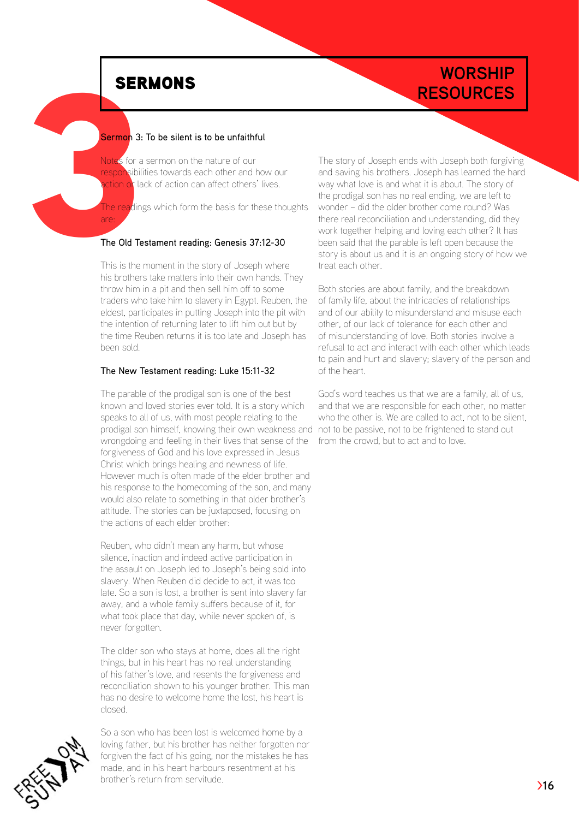are:

## **WORSHIP RESOURCES**

#### Sermon 3: To be silent is to be unfaithful

SER<br>
Sermon 3:<br>
Notes for a<br>
responsibility<br>
action of lack<br>
The reading<br>
The Old Te:<br>
This is the r<br>
in brather Notes for a sermon on the nature of our responsibilities towards each other and how our ction of lack of action can affect others' lives.

The readings which form the basis for these thoughts

#### The Old Testament reading: Genesis 37:12-30

This is the moment in the story of Joseph where his brothers take matters into their own hands. They throw him in a pit and then sell him off to some traders who take him to slavery in Egypt. Reuben, the eldest, participates in putting Joseph into the pit with the intention of returning later to lift him out but by the time Reuben returns it is too late and Joseph has been sold.

#### The New Testament reading: Luke 15:11-32

The parable of the prodigal son is one of the best known and loved stories ever told. It is a story which speaks to all of us, with most people relating to the prodigal son himself, knowing their own weakness and not to be passive, not to be frightened to stand out wrongdoing and feeling in their lives that sense of the forgiveness of God and his love expressed in Jesus Christ which brings healing and newness of life. However much is often made of the elder brother and his response to the homecoming of the son, and many would also relate to something in that older brother's attitude. The stories can be juxtaposed, focusing on the actions of each elder brother:

Reuben, who didn't mean any harm, but whose silence, inaction and indeed active participation in the assault on Joseph led to Joseph's being sold into slavery. When Reuben did decide to act, it was too late. So a son is lost, a brother is sent into slavery far away, and a whole family suffers because of it, for what took place that day, while never spoken of, is never forgotten.

The older son who stays at home, does all the right things, but in his heart has no real understanding of his father's love, and resents the forgiveness and reconciliation shown to his younger brother. This man has no desire to welcome home the lost, his heart is closed.

So a son who has been lost is welcomed home by a loving father, but his brother has neither forgotten nor forgiven the fact of his going, nor the mistakes he has made, and in his heart harbours resentment at his brother's return from servitude.

The story of Joseph ends with Joseph both forgiving and saving his brothers. Joseph has learned the hard way what love is and what it is about. The story of the prodigal son has no real ending, we are left to wonder – did the older brother come round? Was there real reconciliation and understanding, did they work together helping and loving each other? It has been said that the parable is left open because the story is about us and it is an ongoing story of how we treat each other.

Both stories are about family, and the breakdown of family life, about the intricacies of relationships and of our ability to misunderstand and misuse each other, of our lack of tolerance for each other and of misunderstanding of love. Both stories involve a refusal to act and interact with each other which leads to pain and hurt and slavery; slavery of the person and of the heart.

God's word teaches us that we are a family, all of us, and that we are responsible for each other, no matter who the other is. We are called to act, not to be silent, from the crowd, but to act and to love.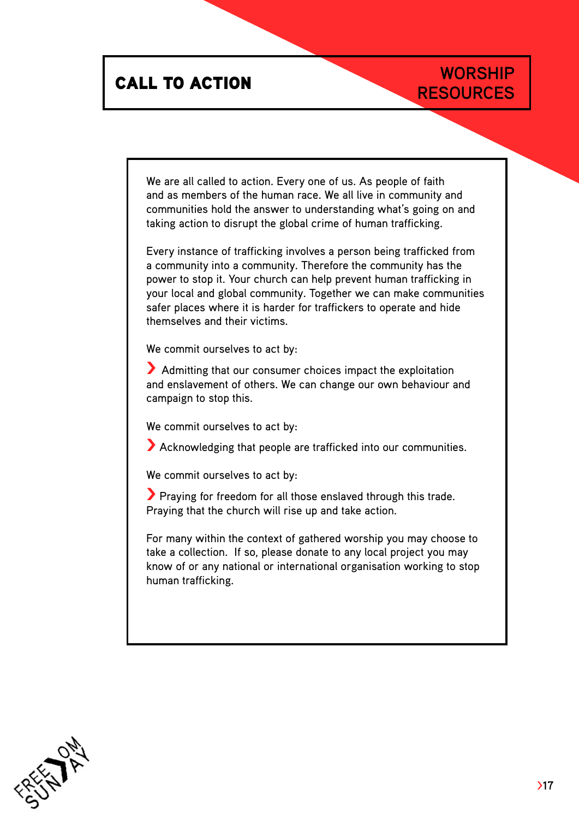# **CALL TO ACTION**<br>RESOURCES

# **WORSHIP**

We are all called to action. Every one of us. As people of faith and as members of the human race. We all live in community and communities hold the answer to understanding what's going on and taking action to disrupt the global crime of human trafficking.

Every instance of trafficking involves a person being trafficked from a community into a community. Therefore the community has the power to stop it. Your church can help prevent human trafficking in your local and global community. Together we can make communities safer places where it is harder for traffickers to operate and hide themselves and their victims.

We commit ourselves to act by:

> Admitting that our consumer choices impact the exploitation and enslavement of others. We can change our own behaviour and campaign to stop this.

We commit ourselves to act by:

> Acknowledging that people are trafficked into our communities.

We commit ourselves to act by:

> Praying for freedom for all those enslaved through this trade. Praying that the church will rise up and take action.

For many within the context of gathered worship you may choose to take a collection. If so, please donate to any local project you may know of or any national or international organisation working to stop human trafficking.

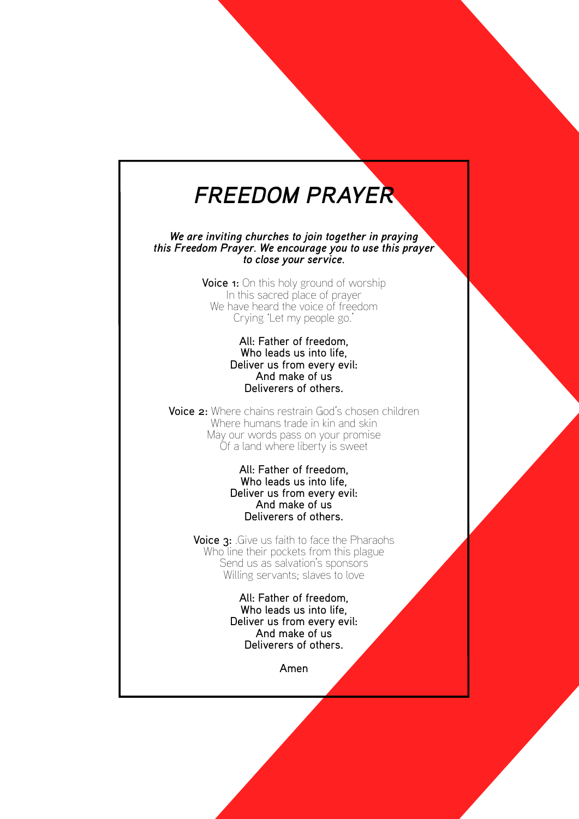# *FREEDOM PRAYER*

*this Freedom Prayer. We encourage you to use this prayer We are inviting churches to join together in praying to close your service.*

> Voice 1: On this holy ground of worship We have heard the voice of freedom In this sacred place of prayer Crying 'Let my people go.'

#### Deliver us from every evil: All: Father of freedom, Who leads us into life, Deliverers of others. And make of us

FREEDOM PRAYER<br>
We are inviting characterized to join bareline in program<br>
this Freedom Project We encourage you to use this program<br>
this Freedom Project We encourage you to use this program<br>
Voice  $\pi$ . This in  $\gamma$  and Voice 2: Where chains restrain God's chosen children May our words pass on your promise Where humans trade in kin and skin Of a land where liberty is sweet

#### Deliver us from every evil: All: Father of freedom, Who leads us into life, Deliverers of others. And make of us

Voice 3: Give us faith to face the Pharaohs Who line their pockets from this plague S end us as salvation's sponsors Willing servants; slaves to love Unraited where liberty is sweet<br>
All: Falter of freedom,<br>
Who leads us into life,<br>
Deliver us from every evil:<br>
And make of us<br>
Peliveres of others.<br>
Voice 3: Give us faith to face the Pharaohs<br>
Who lie their pockets from

Deliver us from every evil: All: Father of freedom, Who leads us into life, Deliverers of others. And make of us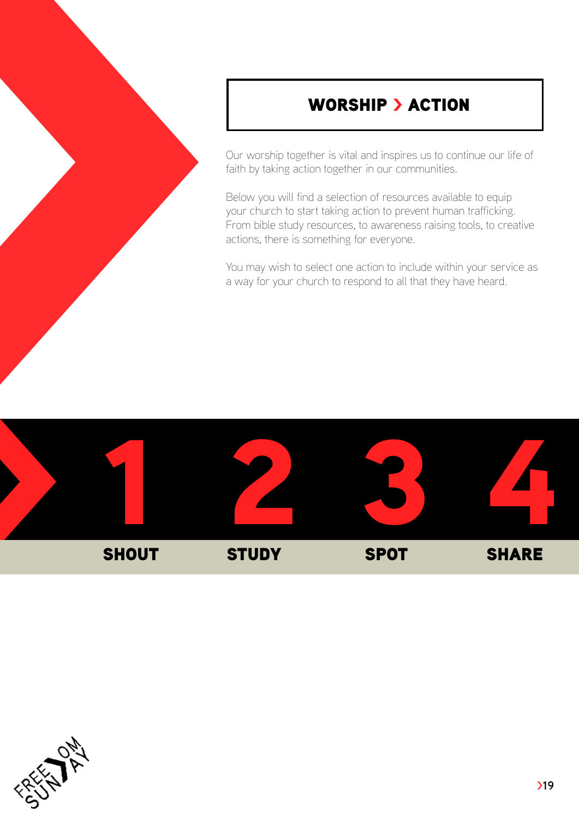## WORSHIP > ACTION

Our worship together is vital and inspires us to continue our life of faith by taking action together in our communities.

Below you will find a selection of resources available to equip your church to start taking action to prevent human trafficking. From bible study resources, to awareness raising tools, to creative actions, there is something for everyone.



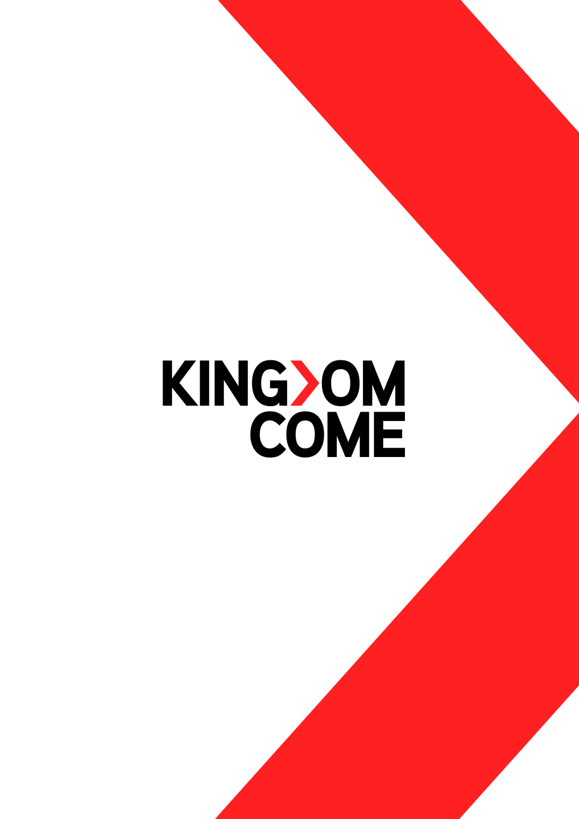# KING>OM<br>COME KING)OM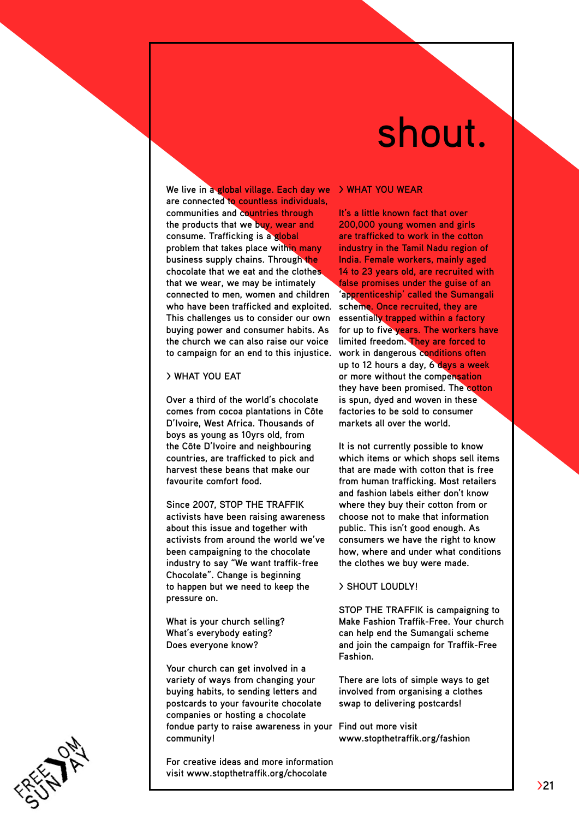# shout.

**We live in a global village. Each day we > WHAT YOU W are connected to countless individuals, communities and countries through the products that we buy, wear and consume. Trafficking is a global problem that takes place within many business supply chains. Through the chocolate that we eat and the clothes that we wear, we may be intimately connected to men, women and children who have been trafficked and exploited. This challenges us to consider our own buying power and consumer habits. As the church we can also raise our voice to campaign for an end to this injustice.** 

#### **> What you eat**

**Over a third of the world's chocolate comes from cocoa plantations in Côte D'Ivoire, West Africa. Thousands of boys as young as 10yrs old, from the Côte D'Ivoire and neighbouring countries, are trafficked to pick and harvest these beans that make our favourite comfort food.** 

**Since 2007, STOP THE TRAFFIK activists have been raising awareness about this issue and together with activists from around the world we've been campaigning to the chocolate industry to say "We want traffik-free Chocolate". Change is beginning to happen but we need to keep the pressure on.** 

**What is your church selling? What's everybody eating? Does everyone know?** 

**Your church can get involved in a variety of ways from changing your buying habits, to sending letters and postcards to your favourite chocolate companies or hosting a chocolate fondue party to raise awareness in your Find out more visit community!** 

**For creative ideas and more information visit [www.stopthetraffik.org/chocolate](www.stopethetraffik.org/chocolate)** 

**It's a little known fact that over 200,000 young women and girls are trafficked to work in the cotton industry in the Tamil Nadu region of India. Female workers, mainly aged 14 to 23 years old, are recruited with false promises under the guise of an 'apprenticeship' called the Sumangali scheme. Once recruited, they are essentially trapped within a factory for up to five years. The workers have limited freedom. They are forced to work in dangerous conditions often up to 12 hours a day, 6 days a week or more without the compensation they have been promised. The cotton is spun, dyed and woven in these factories to be sold to consumer markets all over the world.** 

**It is not currently possible to know which items or which shops sell items that are made with cotton that is free from human trafficking. Most retailers and fashion labels either don't know where they buy their cotton from or choose not to make that information public. This isn't good enough. As consumers we have the right to know how, where and under what conditions the clothes we buy were made.**

#### **> SHOUT LOUDLY!**

**STOP THE TRAFFIK is campaigning to Make Fashion Traffik-Free. Your church can help end the Sumangali scheme and join the campaign for Traffik-Free Fashion.** 

**There are lots of simple ways to get involved from organising a clothes swap to delivering postcards!** 

**<www.stopthetraffik.org/fashion>**

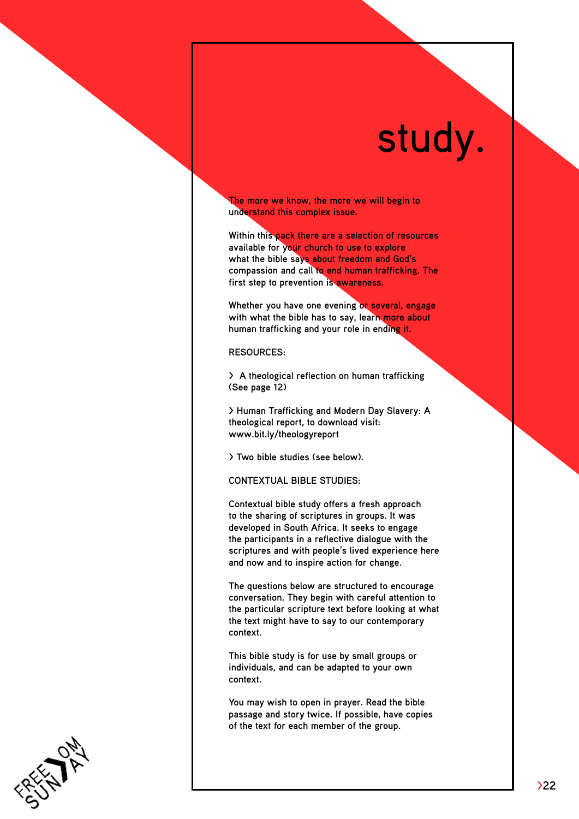# study.

**The more we know, the more we will begin to understand this complex issue.** 

**Within this pack there are a selection of resources available for your church to use to explore what the bible says about freedom and God's compassion and call to end human trafficking. The first step to prevention is awareness.** 

**Whether you have one evening or several, engage with what the bible has to say, learn more about human trafficking and your role in ending it.**

#### **Resources:**

**> A theological reflection on human trafficking (See page 12)**

**> Human Trafficking and Modern Day Slavery: A theological report, to download visit: [www.bit.ly/theologyreport](http://www.bit.ly/theologyreport)** 

**> Two bible studies (see below).** 

**CONTEXTUAL BIBLE STUDIES:**

**Contextual bible study offers a fresh approach to the sharing of scriptures in groups. It was developed in South Africa. It seeks to engage the participants in a reflective dialogue with the scriptures and with people's lived experience here and now and to inspire action for change.**

**The questions below are structured to encourage conversation. They begin with careful attention to the particular scripture text before looking at what the text might have to say to our contemporary context.** 

**This bible study is for use by small groups or individuals, and can be adapted to your own context.** 

**You may wish to open in prayer. Read the bible passage and story twice. If possible, have copies of the text for each member of the group.**

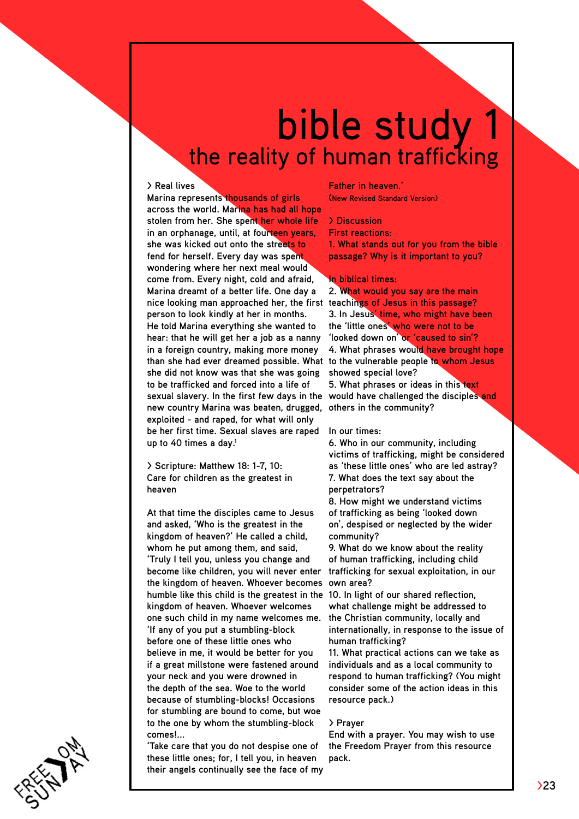# bible study the reality of human trafficking

#### **> Real lives**

**Marina represents thousands of girls across the world. Marina has had all hope stolen from her. She spent her whole life in an orphanage, until, at fourteen years, she was kicked out onto the streets to fend for herself. Every day was spent wondering where her next meal would come from. Every night, cold and afraid, Marina dreamt of a better life. One day a nice looking man approached her, the first teachings of Jesus in this passage? person to look kindly at her in months. He told Marina everything she wanted to hear: that he will get her a job as a nanny in a foreign country, making more money than she had ever dreamed possible. What to the vulnerable people to whom Jesus she did not know was that she was going to be trafficked and forced into a life of sexual slavery. In the first few days in the would have challenged the disciples and new country Marina was beaten, drugged, others in the community? exploited - and raped, for what will only be her first time. Sexual slaves are raped up to 40 times a day. 1**

**> Scripture: Matthew 18: 1-7, 10: Care for children as the greatest in heaven**

**At that time the disciples came to Jesus and asked, 'Who is the greatest in the kingdom of heaven?' He called a child, whom he put among them, and said, 'Truly I tell you, unless you change and become like children, you will never enter the kingdom of heaven. Whoever becomes humble like this child is the greatest in the kingdom of heaven. Whoever welcomes one such child in my name welcomes me. 'If any of you put a stumbling-block before one of these little ones who believe in me, it would be better for you if a great millstone were fastened around your neck and you were drowned in the depth of the sea. Woe to the world because of stumbling-blocks! Occasions for stumbling are bound to come, but woe to the one by whom the stumbling-block comes!...**

**'Take care that you do not despise one of these little ones; for, I tell you, in heaven their angels continually see the face of my** 

**Father in heaven.' (New Revised Standard Version)** 

**> Discussion** 

**First reactions:**

**1. What stands out for you from the bible passage? Why is it important to you?**

#### **In biblical times:**

**2. What would you say are the main 3. In Jesus' time, who might have been the 'little ones' who were not to be 'looked down on' or 'caused to sin'? 4. What phrases would have brought hope showed special love?**

**5. What phrases or ideas in this text** 

#### **In our times:**

**6. Who in our community, including victims of trafficking, might be considered as 'these little ones' who are led astray? 7. What does the text say about the perpetrators?**

**8. How might we understand victims of trafficking as being 'looked down on', despised or neglected by the wider community?** 

**9. What do we know about the reality of human trafficking, including child trafficking for sexual exploitation, in our own area?**

**10. In light of our shared reflection, what challenge might be addressed to the Christian community, locally and internationally, in response to the issue of human trafficking?**

**11. What practical actions can we take as individuals and as a local community to respond to human trafficking? (You might consider some of the action ideas in this resource pack.)** 

#### **> Prayer**

**End with a prayer. You may wish to use the Freedom Prayer from this resource pack.**

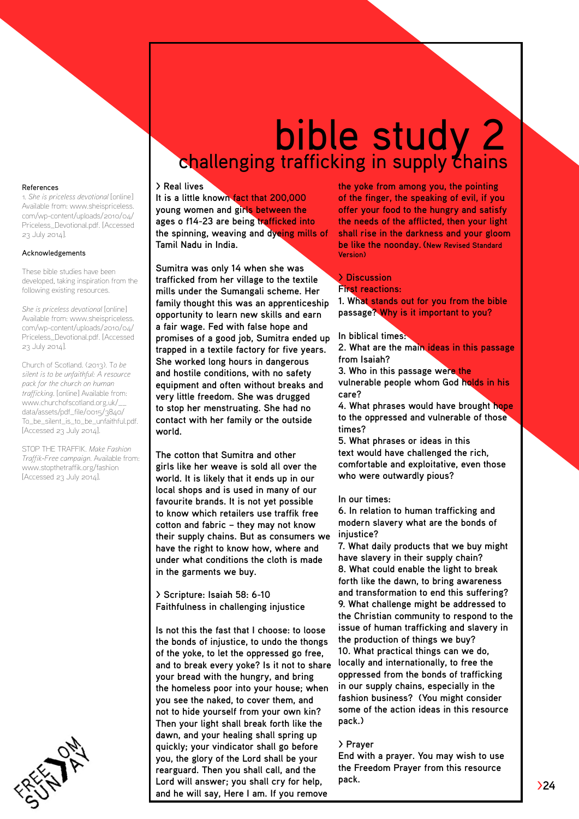#### References

1. *She is priceless devotional* [online] Available from: [www.sheispriceless.](www.sheispriceless.com/wp) [com/wp](www.sheispriceless.com/wp)-content/uploads/2010/04/ [Priceless\\_Devotional.pdf](Priceless_Devotional.pdf). [Accessed 23 July 2014].

#### Acknowledgements

These bible studies have been developed, taking inspiration from the following existing resources.

*She is priceless devotional* [online] Available from: [www.sheispriceless.](www.sheispriceless.com/wp) [com/wp](www.sheispriceless.com/wp)-content/uploads/2010/04/ [Priceless\\_Devotional.pdf](Priceless_Devotional.pdf). [Accessed 23 July 2014].

Church of Scotland. (2013). T*o be silent is to be unfaithful: A resource pack for the church on human trafficking.* [online] Available from: [www.churchofscotland.org.uk/\\_\\_](www.churchofscotland.org.uk/__data/assets/pdf_file/0015/3840/To_be_silent_is_to_be_unfaithful.pdf) [data/assets/pdf\\_file/0015/3840/](www.churchofscotland.org.uk/__data/assets/pdf_file/0015/3840/To_be_silent_is_to_be_unfaithful.pdf) [To\\_be\\_silent\\_is\\_to\\_be\\_unfaithful.pdf.](www.churchofscotland.org.uk/__data/assets/pdf_file/0015/3840/To_be_silent_is_to_be_unfaithful.pdf) [Accessed 23 July 2014].

STOP THE TRAFFIK. *[Make](Traffik.Make) Fashion Traffik-Free campaign.* Available from: <www.stopthetraffik.org/fashion> [Accessed 23 July 2014].

# bible study 2 challenging trafficking in supply *thains*

#### **> Real lives**

**It is a little known fact that 200,000 young women and girls between the ages o f14-23 are being trafficked into the spinning, weaving and dyeing mills of Tamil Nadu in India.** 

**Sumitra was only 14 when she was trafficked from her village to the textile mills under the Sumangali scheme. Her family thought this was an apprenticeship opportunity to learn new skills and earn a fair wage. Fed with false hope and promises of a good job, Sumitra ended up trapped in a textile factory for five years. She worked long hours in dangerous and hostile conditions, with no safety equipment and often without breaks and very little freedom. She was drugged to stop her menstruating. She had no contact with her family or the outside world.** 

**The cotton that Sumitra and other girls like her weave is sold all over the world. It is likely that it ends up in our local shops and is used in many of our favourite brands. It is not yet possible to know which retailers use traffik free cotton and fabric – they may not know their supply chains. But as consumers we have the right to know how, where and under what conditions the cloth is made in the garments we buy.** 

**> Scripture: Isaiah 58: 6-10 Faithfulness in challenging injustice**

**Is not this the fast that I choose: to loose the bonds of injustice, to undo the thongs of the yoke, to let the oppressed go free, and to break every yoke? Is it not to share your bread with the hungry, and bring the homeless poor into your house; when you see the naked, to cover them, and not to hide yourself from your own kin? Then your light shall break forth like the dawn, and your healing shall spring up quickly; your vindicator shall go before you, the glory of the Lord shall be your rearguard. Then you shall call, and the Lord will answer; you shall cry for help, and he will say, Here I am. If you remove** 

**the yoke from among you, the pointing of the finger, the speaking of evil, if you offer your food to the hungry and satisfy the needs of the afflicted, then your light shall rise in the darkness and your gloom be like the noonday. (New Revised Standard Version)**

#### **> Discussion**

**First reactions: 1. What stands out for you from the bible** 

**passage? Why is it important to you?**

#### **In biblical times:**

**2. What are the main ideas in this passage from Isaiah?**

**3. Who in this passage were the** 

**vulnerable people whom God holds in his care?**

**4. What phrases would have brought hope to the oppressed and vulnerable of those times?**

**5. What phrases or ideas in this text would have challenged the rich, comfortable and exploitative, even those who were outwardly pious?**

#### **In our times:**

**6. In relation to human trafficking and modern slavery what are the bonds of injustice?**

**7. What daily products that we buy might have slavery in their supply chain? 8. What could enable the light to break forth like the dawn, to bring awareness and transformation to end this suffering? 9. What challenge might be addressed to the Christian community to respond to the issue of human trafficking and slavery in the production of things we buy? 10. What practical things can we do, locally and internationally, to free the oppressed from the bonds of trafficking in our supply chains, especially in the fashion business? (You might consider some of the action ideas in this resource pack.)** 

#### **> Prayer**

**End with a prayer. You may wish to use the Freedom Prayer from this resource pack.**

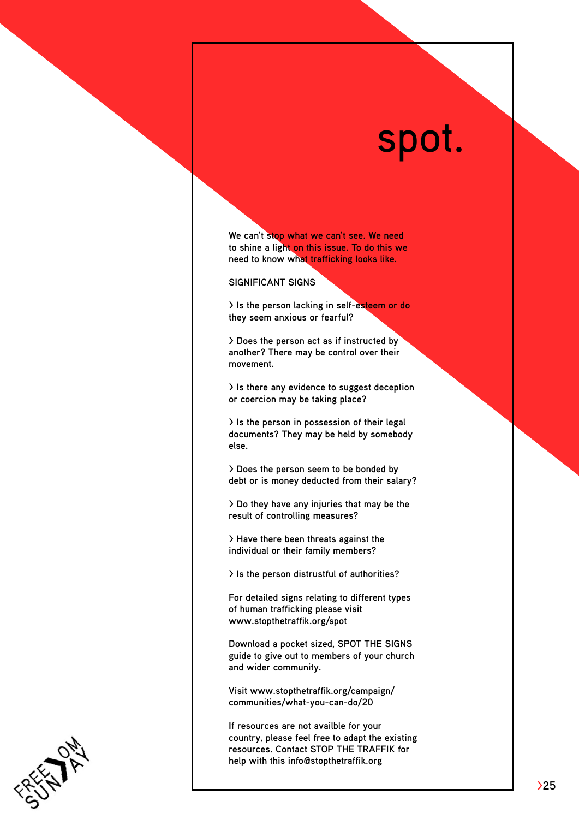# spot.

**We can't stop what we can't see. We need to shine a light on this issue. To do this we need to know what trafficking looks like.** 

**SIGNIFICANT SIGNS** 

**> Is the person lacking in self-esteem or do they seem anxious or fearful?**

**> Does the person act as if instructed by another? There may be control over their movement.** 

**> Is there any evidence to suggest deception or coercion may be taking place?** 

**> Is the person in possession of their legal documents? They may be held by somebody else.** 

**> Does the person seem to be bonded by debt or is money deducted from their salary?** 

**> Do they have any injuries that may be the result of controlling measures?**

**> Have there been threats against the individual or their family members?** 

**> Is the person distrustful of authorities?** 

**For detailed signs relating to different types of human trafficking please visit www.stopthetraffik.org/spot** 

**Download a pocket sized, SPOT THE SIGNS guide to give out to members of your church and wider community.** 

**Visit www.stopthetraffik.org/campaign/ communities/what-you-can-do/20** 

**If resources are not availble for your country, please feel free to adapt the existing resources. Contact STOP THE TRAFFIK for help with this info@stopthetraffik.org**

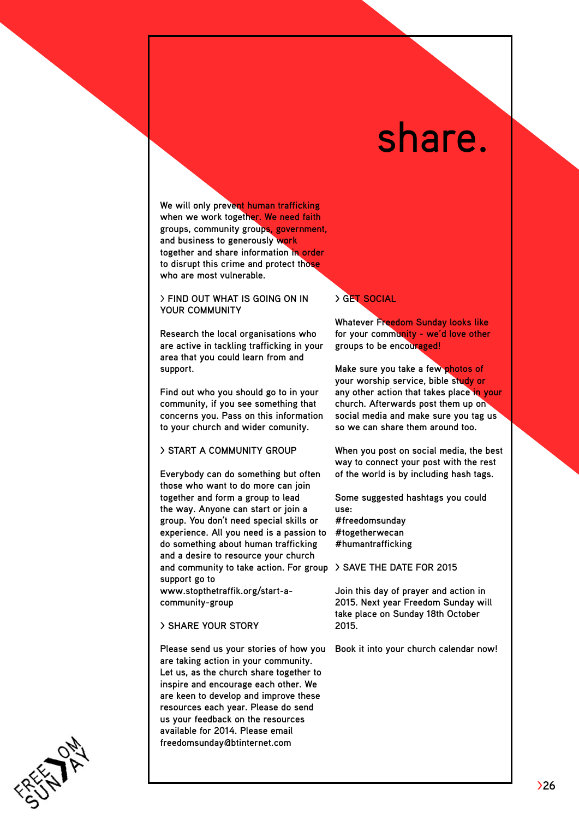# share.

**We will only prevent human trafficking when we work together. We need faith groups, community groups, government, and business to generously work together and share information in order to disrupt this crime and protect those who are most vulnerable.** 

#### > **FIND OUT WHAT IS GOING ON IN YOUR COMMUNITY**

**Research the local organisations who are active in tackling trafficking in your area that you could learn from and support.** 

**Find out who you should go to in your community, if you see something that concerns you. Pass on this information to your church and wider comunity.** 

#### **> START A COMMUNITY GROUP**

**Everybody can do something but often those who want to do more can join together and form a group to lead the way. Anyone can start or join a group. You don't need special skills or experience. All you need is a passion to do something about human trafficking and a desire to resource your church and community to take action. For group > SAVE THE DATE FOR 2015 support go to** 

**[www.stopthetraffik.org/start-](http://www.stopthetraffik.org/start)acommunity-group** 

#### **> Share your story**

**Please send us your stories of how you are taking action in your community. Let us, as the church share together to inspire and encourage each other. We are keen to develop and improve these resources each year. Please do send us your feedback on the resources available for 2014. Please email freedomsunday@btinternet.com**

#### **> GET SOCIAL**

**Whatever Freedom Sunday looks like for your community - we'd love other groups to be encouraged!** 

**Make sure you take a few photos of your worship service, bible study or any other action that takes place in your church. Afterwards post them up on social media and make sure you tag us so we can share them around too.**

**When you post on social media, the best way to connect your post with the rest of the world is by including hash tags.** 

**Some suggested hashtags you could use: #freedomsunday #togetherwecan #humantrafficking**

**Join this day of prayer and action in 2015. Next year Freedom Sunday will take place on Sunday 18th October 2015.** 

**Book it into your church calendar now!**